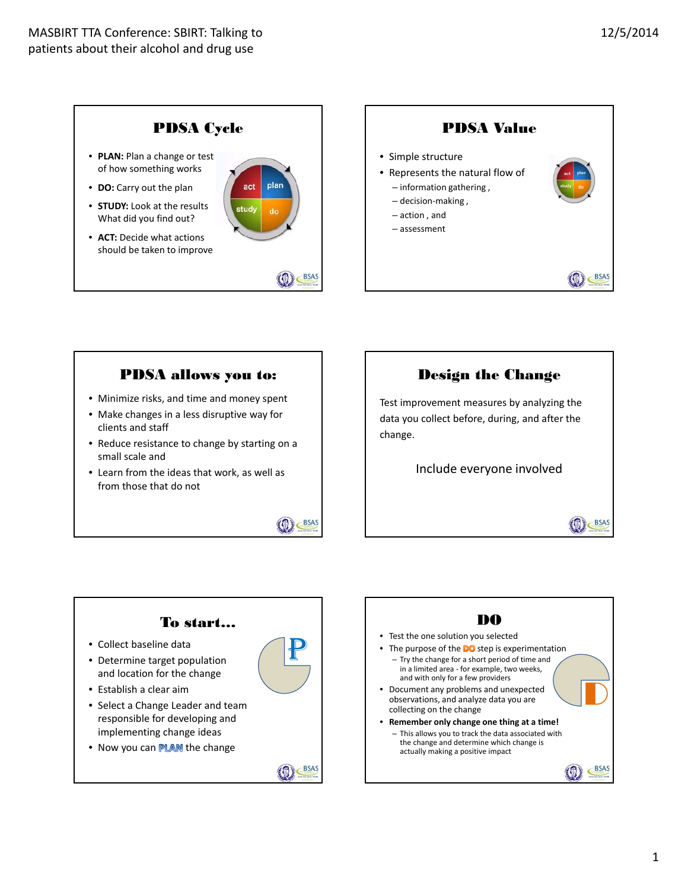

## PDSA allows you to:

- Minimize risks, and time and money spent
- Make changes in a less disruptive way for clients and staff
- Reduce resistance to change by starting on a small scale and
- Learn from the ideas that work, as well as from those that do not



**BSAS** 

# Design the Change

Test improvement measures by analyzing the data you collect before, during, and after the change.

Include everyone involved

BSAS



- implementing change ideas
- Now you can **PLAN** the change

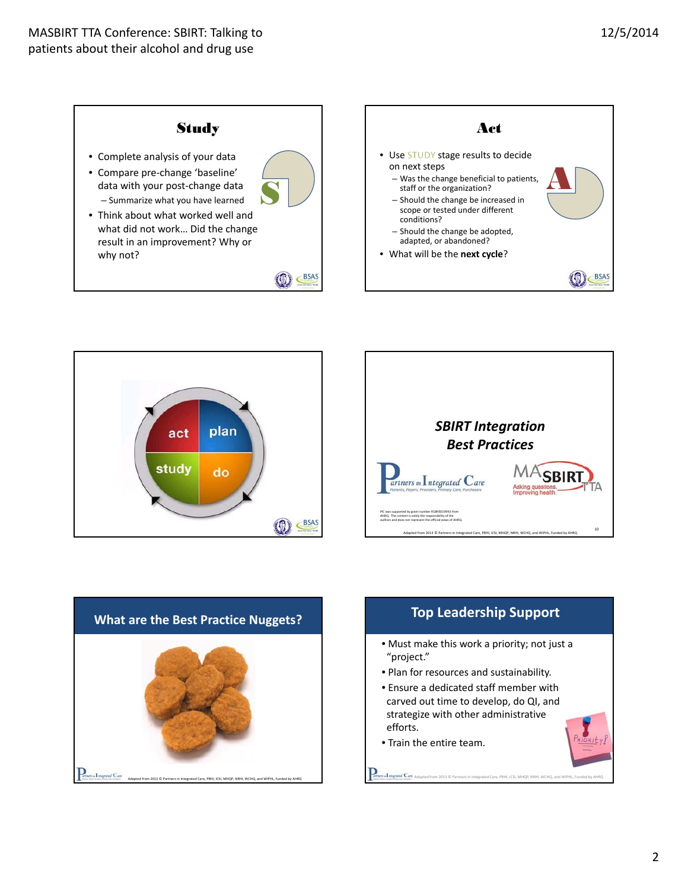







## **Top Leadership Support**

- Must make this work a priority; not just a "project."
- Plan for resources and sustainability.
- Ensure a dedicated staff member with carved out time to develop, do QI, and strategize with other administrative efforts.

Adapted from 2013 © Partnersin Integrated Care, PRHI, ICSI, MHQP, NRHI, WCHQ, and WIPHL, Funded by AHRQ

• Train the entire team.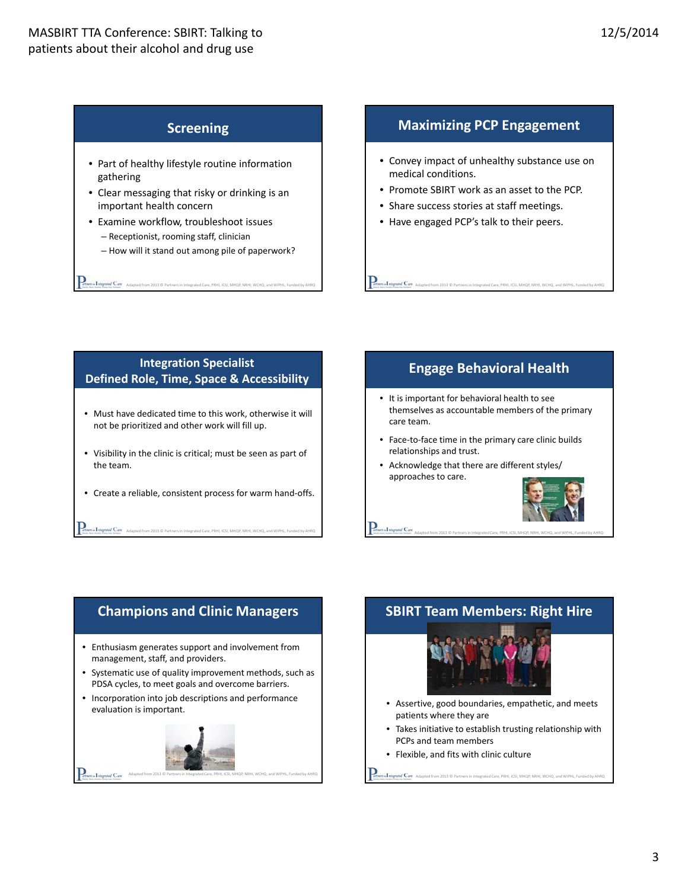#### **Screening**

- Part of healthy lifestyle routine information gathering
- Clear messaging that risky or drinking is an important health concern
- Examine workflow, troubleshoot issues – Receptionist, rooming staff, clinician
	- How will it stand out among pile of paperwork?

A **Letypuid Cav**<br>Adapted from 2013 © Partners in Integrated Care, PRHI, ICSI, MHQP, NRHI, WCHQ, and WIPHL, Funde

#### **Maximizing PCP Engagement**

- Convey impact of unhealthy substance use on medical conditions.
- Promote SBIRT work as an asset to the PCP.

Adapted from 2013 © Partnersin Integrated Care, PRHI, ICSI, MHQP, NRHI, WCHQ, and WIPHL, Funded by AHRQ

- Share success stories at staff meetings.
- Have engaged PCP's talk to their peers.

#### **Integration Specialist Defined Role, Time, Space & Accessibility**

- Must have dedicated time to this work, otherwise it will not be prioritized and other work will fill up.
- Visibility in the clinic is critical; must be seen as part of the team.
- Create a reliable, consistent process for warm hand‐offs.

**Adam & Integrated Care** Adapted from 2013 © Partners in Integrated Care, PRHI, ICSI, MHQP, NRHI, WCHQ, and

## **Engage Behavioral Health**

- It is important for behavioral health to see themselves as accountable members of the primary care team.
- Face-to-face time in the primary care clinic builds relationships and trust.
- Acknowledge that there are different styles/ approaches to care.



#### **Champions and Clinic Managers**

- Enthusiasm generates support and involvement from management, staff, and providers.
- Systematic use of quality improvement methods, such as PDSA cycles, to meet goals and overcome barriers.
- Incorporation into job descriptions and performance evaluation is important.



## **SBIRT Team Members: Right Hire**

Adapted from 2013 © Partnersin Integrated Care, PRHI, ICSI, MHQP, NRHI, WCHQ, and WIPHL, Funded by AHRQ



- Assertive, good boundaries, empathetic, and meets patients where they are
- Takes initiative to establish trusting relationship with PCPs and team members

A Tutured Care Adapted from 2013 © Partners in Integrated Care, PRHI, ICSI, MHQP, NRHI, WCHQ, and WIPHL, Funded by AH

• Flexible, and fits with clinic culture